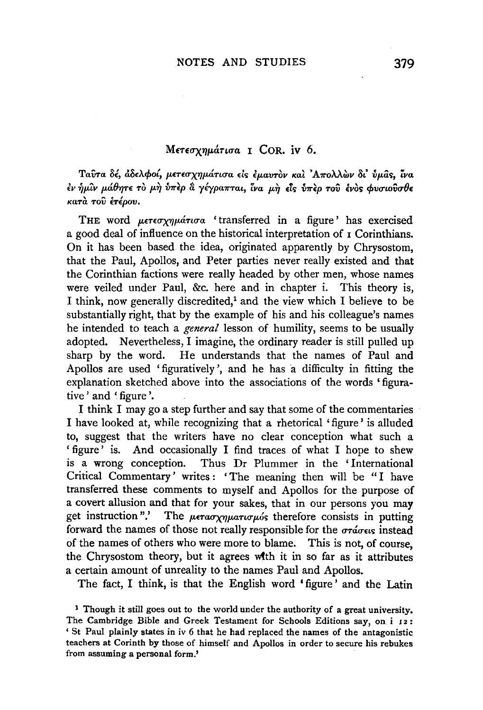## *M£T£UX1JJLanua* r CoR. iv 6.

*Tavra δέ, άδελφοί, μετεσχημάτισα είς έμαυτον και 'Απολλων δι' ύμας, ίνα*  $\epsilon$ ν ήμιν μάθητε το μη ύπερ α γέγραπται, ίνα μη είς ύπερ του ενός φυσιουσθε  $κ$ *ατ*ά του έτέρου.

THE word  $\mu \epsilon \tau \epsilon \sigma \chi \eta \mu \acute{a} \tau \nu \sigma a$  'transferred in a figure' has exercised a good deal of influence on the historical interpretation of 1 Corinthians. On it has been based the idea, originated apparently by Chrysostom, that the Paul, Apollos, and Peter parties never really existed and that the Corinthian factions were really headed by other men, whose names were veiled under Paul, &c. here and in chapter i. This theory is, I think, now generally discredited,<sup>1</sup> and the view which I believe to be substantially right, that by the example of his and his colleague's names he intended to teach a *general* lesson of humility, seems to be usually adopted. Nevertheless, I imagine, the ordinary reader is still pulled up sharp by the word. He understands that the names of Paul and Apollos are used 'figuratively', and he has a difficulty in fitting the explanation sketched above into the associations of the words ' figurative' and 'figure'.

I think I may go a step further and say that some of the commentaries I have looked at, while recognizing that a rhetorical 'figure' is alluded to, suggest that the writers have no clear conception what such a ' figure' is. And occasionally I find traces of what I hope to shew is a wrong conception. Thus Dr Plummer in the ' International Critical Commentary' writes : 'The meaning then will be "I have transferred these comments to myself and Apollos for the purpose of a covert allusion and that for your sakes, that in our persons you may get instruction".' The *μετασχηματισμό*ς therefore consists in putting forward the names of those not really responsible for the  $\sigma\tau\acute{a}\sigma\epsilon\iota\varsigma$  instead of the names of others who were more to blame. This is not, of course, the Chrysostom theory, but it agrees with it in so far as it attributes a certain amount of unreality to the names Paul and Apollos.

The fact, I think, is that the English word 'figure' and the Latin

<sup>1</sup> Though it still goes out to the world under the authority of a great university. The Cambridge Bible and Greek Testament for Schools Editions say, on i 12: ' St Paul plainly states in iv 6 that he had replaced the names of the antagonistic teachers at Corinth by those of himself and Apollos in order to secure his rebukes from assuming a personal form.'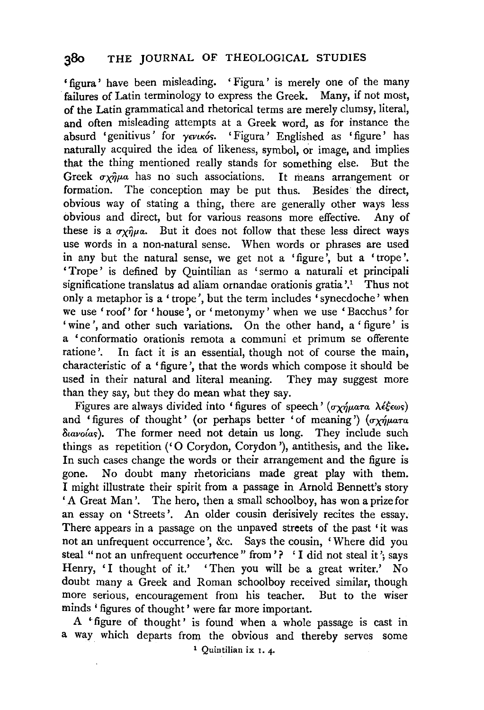## 38o THE JOURNAL OF THEOLOGICAL STUDIES

• figura' have been misleading. 'Figura' is merely one of the many failures of Latin terminology to express the Greek. Many, if not most, of the Latin grammatical and rhetorical terms are merely clumsy, literal, and often misleading attempts at a Greek word, as for instance the absurd 'genitivus' for  $\gamma$ evikós. 'Figura' Englished as 'figure' has naturally acquired the idea of likeness, symbol, or image, and implies that the thing mentioned really stands for something else. But the Greek  $\sigma \chi \hat{\eta} \mu \alpha$  has no such associations. It means arrangement or formation. The conception may be put thus. Besides the direct, obvious way of stating a thing, there are generally other ways less obvious and direct, but for various reasons more effective. Any of these is a  $\sigma \chi \hat{\eta} \mu a$ . But it does not follow that these less direct ways use words in a non-natural sense. When words or phrases are used in any but the natural sense, we get not a 'figure', but a 'trope '. 'Trope' is defined by Quintilian as 'sermo a naturali et principali significatione translatus ad aliam ornandae orationis gratia '.1 Thus not only a metaphor is a ' trope ', but the term includes ' synecdoche' when we use 'roof' for 'house', or 'metonymy' when we use 'Bacchus' for 'wine', and other such variations. On the other hand, a ' figure' is a 'conformatio orationis remota a communi et primum se offerente ratione'. In fact it is an essential, though not of course the main, characteristic of a 'figure', that the words which compose it should be used in their natural and literal meaning. They may suggest more than they say, but they do mean what they say.

Figures are always divided into 'figures of speech' ( $\sigma \chi \gamma \mu \alpha \tau \alpha$ ).  $\lambda \epsilon \xi \epsilon \omega s$ ) and 'figures of thought' (or perhaps better 'of meaning') ( $\sigma_X \gamma_{\mu}$ *8wvo{a>* ). The former need not detain us long. They include such things as repetition ('O Corydon, Corydon'), antithesis, and the like. In such cases change the words or their arrangement and the figure is gone. No doubt many rhetoricians made great play with them. I might illustrate their spirit from a passage in Arnold Bennett's story 'A Great Man'. The hero, then a small schoolboy, has won a prize for an essay on 'Streets'. An older cousin derisively recites the essay. There appears in a passage on the unpaved streets of the past 'it was not an unfrequent occurrence', &c. Says the cousin, 'Where did you steal " not an unfrequent occurrence " from '? ' I did not steal it'; says Henry, 'I thought of it.' 'Then you will be a great writer.' No doubt many a Greek and Roman schoolboy received similar, though more serious, encouragement from his teacher. But to the wiser minds ' figures of thought ' were far more important.

A ' figure of thought ' is found when a whole passage is cast in a way which departs from the obvious and thereby serves some  $\frac{1 \text{ Quintilian}}{1 \text{ } 4}$ .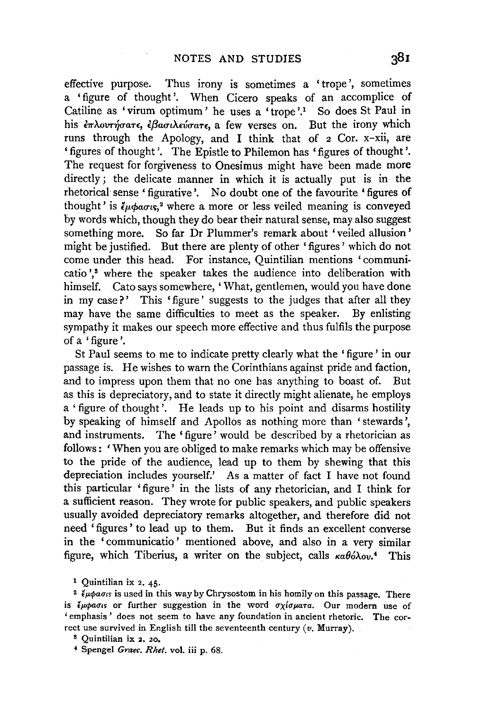effective purpose. Thus irony is sometimes a 'trope', sometimes a 'figure of thought'. When Cicero speaks of an accomplice of Catiline as 'virum optimum' he uses a 'trope '.1 So does St Paul in his  $\epsilon \pi \lambda$ ovrήσατε, εβασιλεύσατε, a few verses on. But the irony which runs through the Apology, and I think that of 2 Cor. x-xii, are 'figures of thought'. The Epistle to Philemon has 'figures of thought'. The request for forgiveness to Onesimus might have been made more directly; the delicate manner in which it is actually put is in the rhetorical, sense 'figurative'. No doubt one of the favourite 'figures of thought' is  $\epsilon_{\mu\phi a\sigma\iota s}$ ,<sup>2</sup> where a more or less veiled meaning is conveyed by words which, though they do bear their natural sense, may also suggest something more. So far Dr Plummer's remark about 'veiled allusion' might be justified. But there are plenty of other 'figures' which do not come under this head. For instance, Quintilian mentions ' communicatio '.<sup>8</sup> where the speaker takes the audience into deliberation with himself. Cato says somewhere, 'What, gentlemen, would you have done in my case?' This 'figure' suggests to the judges that after all they may have the same difficulties to meet as the speaker. By enlisting sympathy it makes our speech more effective and thus fulfils the purpose of a 'figure'.

St Paul seems to me to indicate pretty clearly what the 'figure' in our passage is. He wishes to warn the Corinthians against pride and faction, and to impress upon them that no one has anything to boast of. But as this is depreciatory, and to state it directly might alienate, he employs a 'figure of thought'. He leads up to his point and disarms hostility by speaking of himself and Apollos as nothing more than 'stewards', and instruments. The 'figure' would be described by a rhetorician as follows : 'When you are obliged to make remarks which may be offensive to the pride of the audience, lead up to them by shewing that this depreciation includes yourself.' As a matter of fact I have not found this particular 'figure' in the lists of any rhetorician, and I think for a sufficient reason. They wrote for public speakers, and public speakers usually avoided depreciatory remarks altogether, and therefore did not need 'figures ' to lead up to them. But it finds an excellent converse in the 'communicatio' mentioned above, and also in a very similar figure, which Tiberius, a writer on the subject, calls  $\kappa a \theta_0 \lambda_0 v^4$  This

1 Quintilian ix 2. 45·

 $2~\epsilon\mu\phi$ aous is used in this way by Chrysostom in his homily on this passage. There is  $\frac{2}{\mu} \phi$ aous or further suggestion in the word  $\sigma \chi$ io $\mu$ ara. Our modern use of 'emphasis' does not seem to have any foundation in ancient rhetoric. The correct use survived in English till the seventeenth century  $(v,$  Murray).

s Quintilian ix 2. 20,

*4* Spengel *Graec. Rhet.* vol. iii p. 68.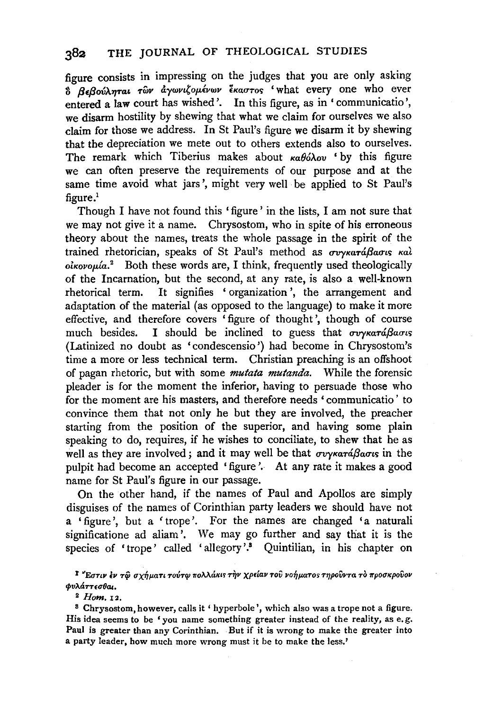figure consists in impressing on the judges that you are only asking  $\delta$  βεβούληται των άγωνιζομένων έκαστος 'what every one who ever entered a law court has wished'. In this figure, as in 'communicatio ', we disarm hostility by shewing that what we claim for ourselves we also claim for those we address. In St Paul's figure we disarm it by shewing that the depreciation we mete out to others extends also to ourselves. The remark which Tiberius makes about  $\kappa a \theta_0 \lambda_0 v$  ' by this figure we can often preserve the requirements of our purpose and at the same time avoid what jars', might very well be applied to St Paul's figure.<sup>1</sup>

Though I have not found this 'figure' in the lists, I am not sure that we may not give it a name. Chrysostom, who in spite of his erroneous theory about the names, treats the whole passage in the spirit of the trained rhetorician, speaks of St Paul's method as  $\sigma v \gamma \kappa a \tau a \beta a \sigma v s$  *kal olKovop.{a.2* Both these words are, I think, frequently used theologically of the Incarnation, but the second, at any rate, is also a well-known rhetorical term. It signifies 'organization', the arrangement and adaptation of the material (as opposed to the language) to make it more effective, and therefore covers 'figure of thought', though of course much besides. I should be inclined to guess that  $\sigma v \gamma \kappa a \tau a \beta a \sigma v s$ (Latinized no doubt as 'condescensio ') had become in Chrysostom's time a more or less technical term. Christian preaching is an offshoot of pagan rhetoric, but with some *mutata mutanda.* While the forensic pleader is for the moment the inferior, having to persuade those who for the moment are his masters, and therefore needs ' communicatio' to convince them that not only he but they are involved, the preacher starting from the position of the superior, and having some plain speaking to do, requires, if he wishes to conciliate, to shew that he as well as they are involved; and it may well be that  $\sigma v \gamma \kappa a \tau a \beta a \sigma u s$  in the pulpit had become an accepted ' figure'. At any rate it makes a good name for St Paul's figure in our passage.

On the other hand, if the names of Paul and Apollos are simply disguises of the names of Corinthian party leaders we should have not a 'figure', but a 'trope'. For the names are changed 'a naturali significatione ad aliam '. We may go further and say that it is the species of 'trope' called 'allegory'.<sup>8</sup> Quintilian, in his chapter on

<sup>2</sup>*Hom.* !2.

<sup>&</sup>lt;sup>1</sup> Έστιν έν τώ σχήματι τούτω πολλάκις την χρείαν του νοήματος τηρούντα το προσκρούον *cpv.\arr•a9at.* 

<sup>8</sup> Chrysostom, however, calls it ' hyperbole', which also was a trope not a figure. His idea seems to be 'you name something greater instead of the reality, as e.g. Paul is greater than any Corinthian. But if it is wrong to make the greater into a party leader, how much more wrong must it be to make the less.'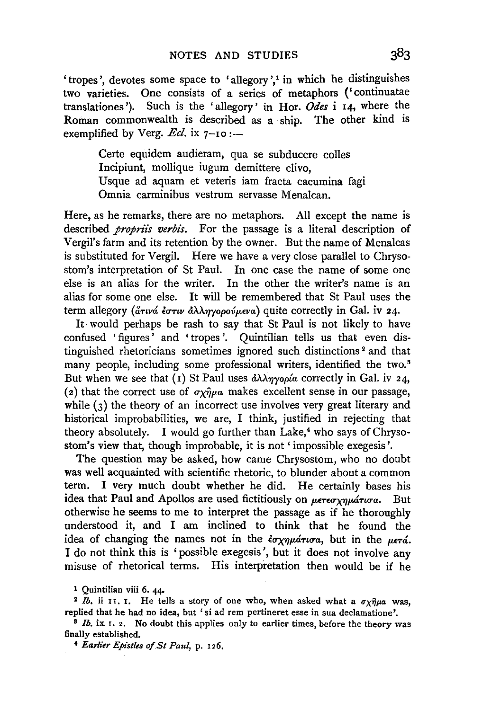'tropes', devotes some space to 'allegory',<sup>1</sup> in which he distinguishes two varieties. One consists of a series of metaphors ('continuatae translationes '). Such is the 'allegory' in Hor. *Odes* i 14, where the Roman commonwealth is described as a ship. The other kind is exemplified by Verg. *Ecl.* ix  $7-\text{10}$  :-

> Certe equidem audieram, qua se subducere colles Incipiunt, mollique iugum demittere clivo, Usque ad aquam et veteris iam fracta cacumina fagi Omnia carminibus vestrum servasse Menalcan.

Here, as he remarks, there are no metaphors. All except the name is described *propriis verbis*. For the passage is a literal description of Vergil's farm and its retention by the owner. But the name of Menalcas is substituted for Vergil. Here we have a very close parallel to Chrysostom's interpretation of St Paul. In one case the name of some one else is an alias for the writer. In the other the writer's name is an alias for some one else. It will be remembered that St Paul uses the term allegory (*άτινά έστιν άλληγορούμενα*) quite correctly in Gal. iv 24.

It would perhaps be rash to say that St Paul is not likely to have confused 'figures' and 'tropes'. Quintilian tells us that even distinguished rhetoricians sometimes ignored such distinctions 2 and that many people, including some professional writers, identified the two.<sup>8</sup> But when we see that (1) St Paul uses  $\partial \lambda \lambda \eta \gamma \partial \rho \alpha$  correctly in Gal. iv 24, (2) that the correct use of  $\sigma \chi \hat{\eta} \mu a$  makes excellent sense in our passage, while (3) the theory of an incorrect use involves very great literary and historical improbabilities, we are, I think, justified in rejecting that theory absolutely. I would go further than Lake,<sup>4</sup> who says of Chrysostom's view that, though improbable, it is not 'impossible exegesis'.

The question may be asked, how came Chrysostom, who no doubt was well acquainted with scientific rhetoric, to blunder about a common term. I very much doubt whether he did. He certainly bases his idea that Paul and Apollos are used fictitiously on  $\mu \epsilon \tau \epsilon \sigma \chi \eta \mu \alpha \tau \nu \sigma \alpha$ . But otherwise he seems to me to interpret the passage as if he thoroughly understood it, and I am inclined to think that he found the idea of changing the names not in the  $\epsilon \sigma \chi \eta \mu \dot{\alpha} \tau \dot{\alpha}$ , but in the  $\mu \epsilon \tau \dot{\alpha}$ . I do not think this is 'possible exegesis', but it does not involve any misuse of rhetorical terms. His interpretation then would be if he

1 Quintilian viii 6. 44•

<sup>2</sup> *Ib.* ii II. I. He tells a story of one who, when asked what a  $\sigma \chi \hat{\eta} \mu a$  was, replied that he had no idea, but 'si ad rem pertineret esse in sua declamatione'.<br><sup>8</sup> *Ib.* ix r. 2. No doubt this applies only to earlier times, before the theory was

finally established.

4 *Earlier Epistles of St Paul,* p. 126.